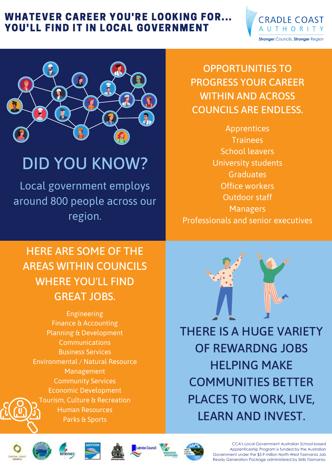Engineering Finance & Accounting Planning & Development Communications Business Services Environmental / Natural Resource Management Community Services Economic Development Tourism, Culture & Recreation Human Resources Parks & Sports



HERE ARE SOME OF THE AREAS WITHIN COUNCILS WHERE YOU'LL FIND GREAT JOBS.

Local government employs around 800 people across our region.

# DID YOU KNOW?

THERE IS A HUGE VARIETY OF REWARDNG JOBS HELPING MAKE COMMUNITIES BETTER PLACES TO WORK, LIVE, LEARN AND INVEST.













CCA's Local Government Australian School-based Apprenticeship Program is funded by the Australian Government under the \$3.9 million North-West Tasmania Job Ready Generation Package administered by Skills Tasmania.

Apprentices Trainees School leavers University students Graduates Office workers Outdoor staff Managers Professionals and senior executives

OPPORTUNITIES TO PROGRESS YOUR CAREER WITHIN AND ACROSS COUNCILS ARE ENDLESS.

### WHATEVER CAREER YOU'RE LOOKING FOR... YOU'LL FIND IT IN LOCAL GOVERNMENT

**CRADLE COAST** 

**Stronger Councils, Stronger Region**